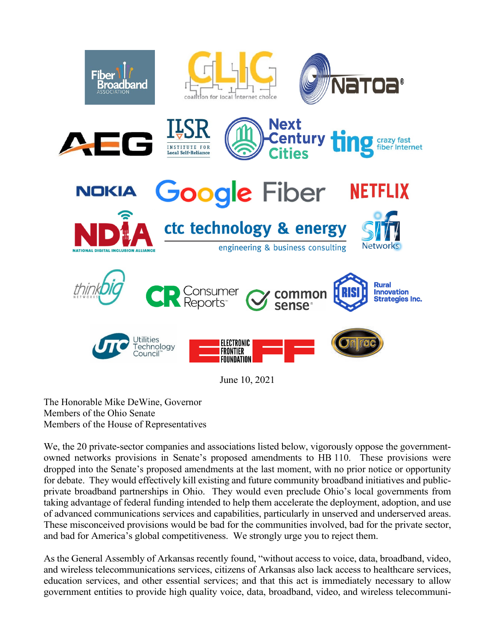









June 10, 2021

The Honorable Mike DeWine, Governor Members of the Ohio Senate Members of the House of Representatives

We, the 20 private-sector companies and associations listed below, vigorously oppose the governmentowned networks provisions in Senate's proposed amendments to HB 110. These provisions were dropped into the Senate's proposed amendments at the last moment, with no prior notice or opportunity for debate. They would effectively kill existing and future community broadband initiatives and publicprivate broadband partnerships in Ohio. They would even preclude Ohio's local governments from taking advantage of federal funding intended to help them accelerate the deployment, adoption, and use of advanced communications services and capabilities, particularly in unserved and underserved areas. These misconceived provisions would be bad for the communities involved, bad for the private sector, and bad for America's global competitiveness. We strongly urge you to reject them.

As the General Assembly of Arkansas recently found, "without access to voice, data, broadband, video, and wireless telecommunications services, citizens of Arkansas also lack access to healthcare services, education services, and other essential services; and that this act is immediately necessary to allow government entities to provide high quality voice, data, broadband, video, and wireless telecommuni